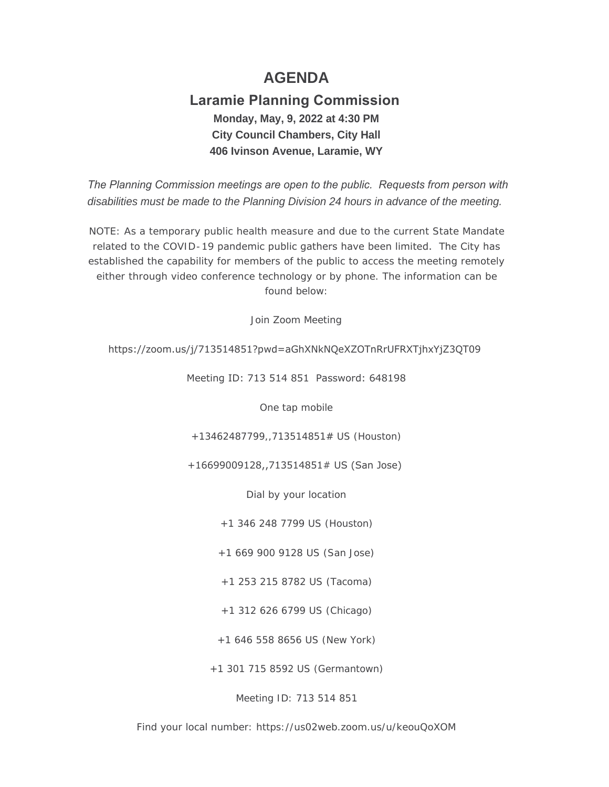# **AGENDA**

## **Laramie Planning Commission Monday, May, 9, 2022 at 4:30 PM City Council Chambers, City Hall 406 Ivinson Avenue, Laramie, WY**

 *The Planning Commission meetings are open to the public. Requests from person with disabilities must be made to the Planning Division 24 hours in advance of the meeting.*

NOTE: As a temporary public health measure and due to the current State Mandate related to the COVID-19 pandemic public gathers have been limited. The City has established the capability for members of the public to access the meeting remotely either through video conference technology or by phone. The information can be found below:

Join Zoom Meeting

## https://zoom.us/j/713514851?pwd=aGhXNkNQeXZOTnRrUFRXTjhxYjZ3QT09

Meeting ID: 713 514 851 Password: 648198

One tap mobile

+13462487799,,713514851# US (Houston)

+16699009128,,713514851# US (San Jose)

Dial by your location

+1 346 248 7799 US (Houston)

+1 669 900 9128 US (San Jose)

+1 253 215 8782 US (Tacoma)

+1 312 626 6799 US (Chicago)

+1 646 558 8656 US (New York)

+1 301 715 8592 US (Germantown)

Meeting ID: 713 514 851

Find your local number: https://us02web.zoom.us/u/keouQoXOM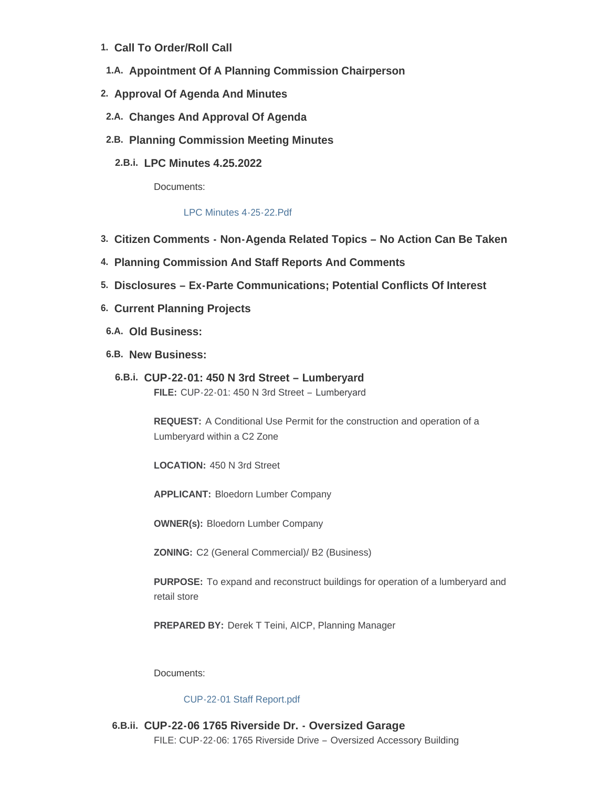- **Call To Order/Roll Call 1.**
- 1.A. Appointment Of A Planning Commission Chairperson
- **Approval Of Agenda And Minutes 2.**
- **Changes And Approval Of Agenda 2.A.**
- **Planning Commission Meeting Minutes 2.B.**
	- **LPC Minutes 4.25.2022 2.B.i.**

Documents:

#### [LPC Minutes 4-25-22.Pdf](https://cityoflaramie.org/AgendaCenter/ViewFile/Item/12378?fileID=16946)

- **Citizen Comments - Non-Agenda Related Topics – No Action Can Be Taken 3.**
- **Planning Commission And Staff Reports And Comments 4.**
- **Disclosures – Ex-Parte Communications; Potential Conflicts Of Interest 5.**
- **Current Planning Projects 6.**
- **Old Business: 6.A.**
- **New Business: 6.B.**
	- **CUP-22-01: 450 N 3rd Street – Lumberyard 6.B.i. FILE:** CUP-22-01: 450 N 3rd Street – Lumberyard

**REQUEST:** A Conditional Use Permit for the construction and operation of a Lumberyard within a C2 Zone

**LOCATION:** 450 N 3rd Street

**APPLICANT:** Bloedorn Lumber Company

**OWNER(s):** Bloedorn Lumber Company

**ZONING:** C2 (General Commercial)/ B2 (Business)

**PURPOSE:** To expand and reconstruct buildings for operation of a lumberyard and retail store

**PREPARED BY:** Derek T Teini, AICP, Planning Manager

Documents:

#### [CUP-22-01 Staff Report.pdf](https://cityoflaramie.org/AgendaCenter/ViewFile/Item/12376?fileID=16945)

**CUP-22-06 1765 Riverside Dr. - Oversized Garage 6.B.ii.** FILE: CUP-22-06: 1765 Riverside Drive – Oversized Accessory Building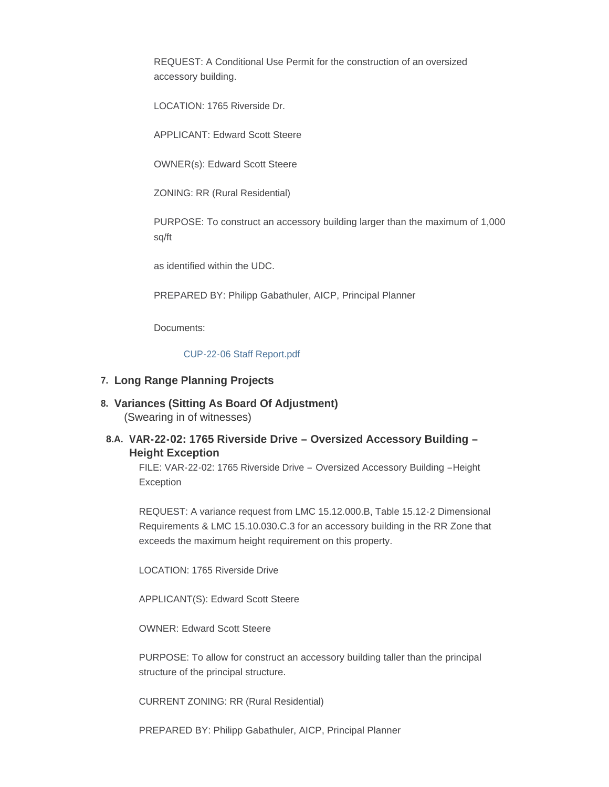REQUEST: A Conditional Use Permit for the construction of an oversized accessory building.

LOCATION: 1765 Riverside Dr.

APPLICANT: Edward Scott Steere

OWNER(s): Edward Scott Steere

ZONING: RR (Rural Residential)

PURPOSE: To construct an accessory building larger than the maximum of 1,000 sq/ft

as identified within the UDC.

PREPARED BY: Philipp Gabathuler, AICP, Principal Planner

Documents:

[CUP-22-06 Staff Report.pdf](https://cityoflaramie.org/AgendaCenter/ViewFile/Item/12379?fileID=16947)

## **Long Range Planning Projects 7.**

**Variances (Sitting As Board Of Adjustment) 8.** (Swearing in of witnesses)

## **VAR-22-02: 1765 Riverside Drive – Oversized Accessory Building – 8.A. Height Exception**

FILE: VAR-22-02: 1765 Riverside Drive – Oversized Accessory Building –Height Exception

REQUEST: A variance request from LMC 15.12.000.B, Table 15.12-2 Dimensional Requirements & LMC 15.10.030.C.3 for an accessory building in the RR Zone that exceeds the maximum height requirement on this property.

LOCATION: 1765 Riverside Drive

APPLICANT(S): Edward Scott Steere

OWNER: Edward Scott Steere

PURPOSE: To allow for construct an accessory building taller than the principal structure of the principal structure.

CURRENT ZONING: RR (Rural Residential)

PREPARED BY: Philipp Gabathuler, AICP, Principal Planner